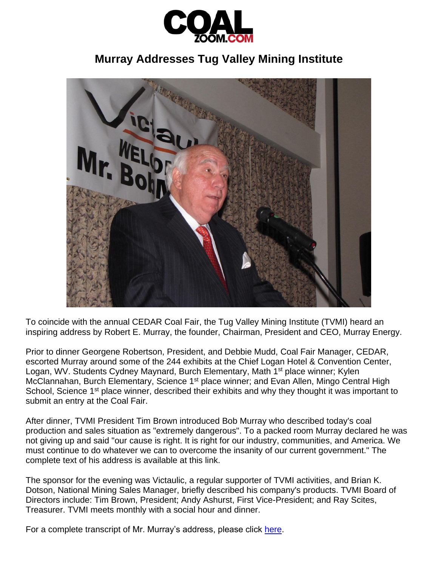

## **Murray Addresses Tug Valley Mining Institute**



To coincide with the annual CEDAR Coal Fair, the Tug Valley Mining Institute (TVMI) heard an inspiring address by Robert E. Murray, the founder, Chairman, President and CEO, Murray Energy.

Prior to dinner Georgene Robertson, President, and Debbie Mudd, Coal Fair Manager, CEDAR, escorted Murray around some of the 244 exhibits at the Chief Logan Hotel & Convention Center, Logan, WV. Students Cydney Maynard, Burch Elementary, Math 1<sup>st</sup> place winner; Kylen McClannahan, Burch Elementary, Science 1<sup>st</sup> place winner; and Evan Allen, Mingo Central High School, Science 1<sup>st</sup> place winner, described their exhibits and why they thought it was important to submit an entry at the Coal Fair.

After dinner, TVMI President Tim Brown introduced Bob Murray who described today's coal production and sales situation as "extremely dangerous". To a packed room Murray declared he was not giving up and said "our cause is right. It is right for our industry, communities, and America. We must continue to do whatever we can to overcome the insanity of our current government." The complete text of his address is available at this link.

The sponsor for the evening was Victaulic, a regular supporter of TVMI activities, and Brian K. Dotson, National Mining Sales Manager, briefly described his company's products. TVMI Board of Directors include: Tim Brown, President; Andy Ashurst, First Vice-President; and Ray Scites, Treasurer. TVMI meets monthly with a social hour and dinner.

For a complete transcript of Mr. Murray's address, please click [here.](https://dl.dropboxusercontent.com/u/34613867/Robert%20E.%20Murray%27s%20Speech%20to%20Tug%20Valley%20Mining%20Institute%204.23.15.doc)